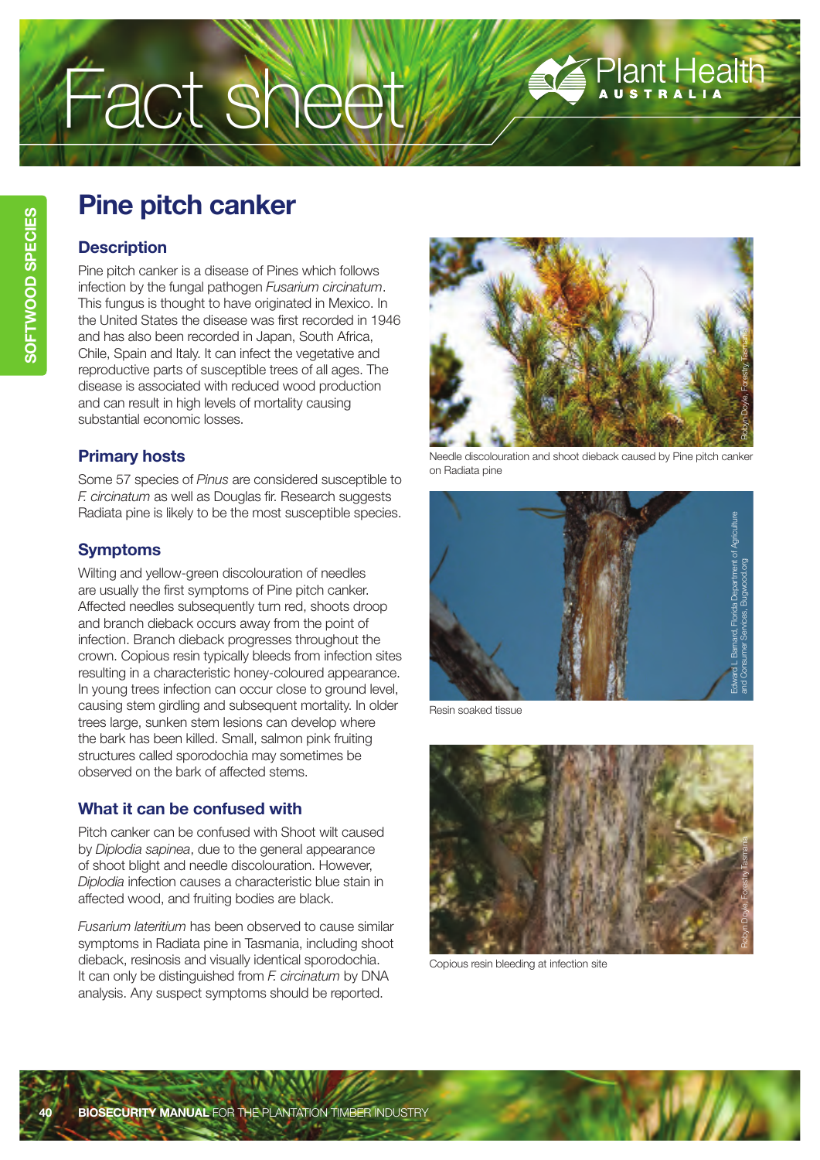# Fact sheet

# **Pine pitch canker**

## **Description**

Pine pitch canker is a disease of Pines which follows infection by the fungal pathogen *Fusarium circinatum*. This fungus is thought to have originated in Mexico. In the United States the disease was first recorded in 1946 and has also been recorded in Japan, South Africa, Chile, Spain and Italy. It can infect the vegetative and reproductive parts of susceptible trees of all ages. The disease is associated with reduced wood production and can result in high levels of mortality causing substantial economic losses.

## **Primary hosts**

Some 57 species of *Pinus* are considered susceptible to *F. circinatum* as well as Douglas fir. Research suggests Radiata pine is likely to be the most susceptible species.

# **Symptoms**

Wilting and yellow-green discolouration of needles are usually the first symptoms of Pine pitch canker. Affected needles subsequently turn red, shoots droop and branch dieback occurs away from the point of infection. Branch dieback progresses throughout the crown. Copious resin typically bleeds from infection sites resulting in a characteristic honey-coloured appearance. In young trees infection can occur close to ground level, causing stem girdling and subsequent mortality. In older trees large, sunken stem lesions can develop where the bark has been killed. Small, salmon pink fruiting structures called sporodochia may sometimes be observed on the bark of affected stems.

# **What it can be confused with**

Pitch canker can be confused with Shoot wilt caused by *Diplodia sapinea*, due to the general appearance of shoot blight and needle discolouration. However, *Diplodia* infection causes a characteristic blue stain in affected wood, and fruiting bodies are black.

*Fusarium lateritium* has been observed to cause similar symptoms in Radiata pine in Tasmania, including shoot dieback, resinosis and visually identical sporodochia. It can only be distinguished from *F. circinatum* by DNA analysis. Any suspect symptoms should be reported.



Plant Health

Needle discolouration and shoot dieback caused by Pine pitch canker on Radiata pine



Resin soaked tissue



Copious resin bleeding at infection site